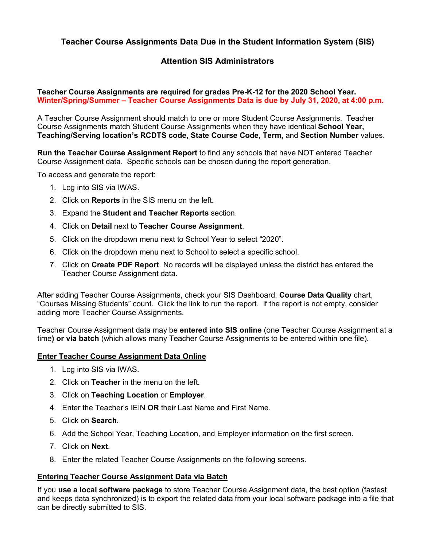# **Teacher Course Assignments Data Due in the Student Information System (SIS)**

## **Attention SIS Administrators**

### **Teacher Course Assignments are required for grades Pre-K-12 for the 2020 School Year. Winter/Spring/Summer – Teacher Course Assignments Data is due by July 31, 2020, at 4:00 p.m.**

A Teacher Course Assignment should match to one or more Student Course Assignments. Teacher Course Assignments match Student Course Assignments when they have identical **School Year, Teaching/Serving location's RCDTS code, State Course Code, Term,** and **Section Number** values.

**Run the Teacher Course Assignment Report** to find any schools that have NOT entered Teacher Course Assignment data. Specific schools can be chosen during the report generation.

To access and generate the report:

- 1. Log into SIS via IWAS.
- 2. Click on **Reports** in the SIS menu on the left.
- 3. Expand the **Student and Teacher Reports** section.
- 4. Click on **Detail** next to **Teacher Course Assignment**.
- 5. Click on the dropdown menu next to School Year to select "2020".
- 6. Click on the dropdown menu next to School to select a specific school.
- 7. Click on **Create PDF Report**. No records will be displayed unless the district has entered the Teacher Course Assignment data.

After adding Teacher Course Assignments, check your SIS Dashboard, **Course Data Quality** chart, "Courses Missing Students" count. Click the link to run the report. If the report is not empty, consider adding more Teacher Course Assignments.

Teacher Course Assignment data may be **entered into SIS online** (one Teacher Course Assignment at a time**) or via batch** (which allows many Teacher Course Assignments to be entered within one file).

#### **Enter Teacher Course Assignment Data Online**

- 1. Log into SIS via IWAS.
- 2. Click on **Teacher** in the menu on the left.
- 3. Click on **Teaching Location** or **Employer**.
- 4. Enter the Teacher's IEIN **OR** their Last Name and First Name.
- 5. Click on **Search**.
- 6. Add the School Year, Teaching Location, and Employer information on the first screen.
- 7. Click on **Next**.
- 8. Enter the related Teacher Course Assignments on the following screens.

#### **Entering Teacher Course Assignment Data via Batch**

If you **use a local software package** to store Teacher Course Assignment data, the best option (fastest and keeps data synchronized) is to export the related data from your local software package into a file that can be directly submitted to SIS.